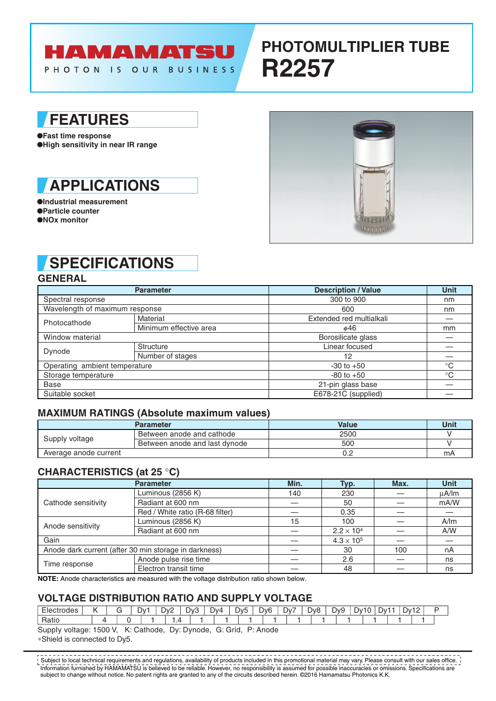# **HAMAMATSU**

PHOTON IS OUR BUSINESS

# **PHOTOMULTIPLIER TUBE R2257**

### **FEATURES**

●**Fast time response** ●**High sensitivity in near IR range**

### **APPLICATIONS**

●**Industrial measurement** ●**Particle counter** ●**NOx monitor**



## **SPECIFICATIONS**

#### **GENERAL**

|                                | <b>Parameter</b>       | <b>Description / Value</b> | <b>Unit</b> |
|--------------------------------|------------------------|----------------------------|-------------|
| Spectral response              |                        | 300 to 900                 | nm          |
| Wavelength of maximum response |                        | 600                        | nm          |
| Photocathode                   | Material               | Extended red multialkali   |             |
|                                | Minimum effective area | ø46                        | mm          |
| Window material                |                        | Borosilicate glass         |             |
| Dynode                         | Structure              | Linear focused             |             |
|                                | Number of stages       | 12                         |             |
| Operating ambient temperature  |                        | $-30$ to $+50$             | $^{\circ}C$ |
| Storage temperature            |                        | $-80$ to $+50$             | $^{\circ}C$ |
| <b>Base</b>                    |                        | 21-pin glass base          |             |
| Suitable socket                |                        | E678-21C (supplied)        |             |

#### **MAXIMUM RATINGS (Absolute maximum values)**

|                       | <b>Parameter</b>              | <b>Value</b> | Unit |
|-----------------------|-------------------------------|--------------|------|
| Supply voltage        | Between anode and cathode     | 2500         |      |
|                       | Between anode and last dynode | 500          |      |
| Average anode current |                               | 0.2          | mA   |

### **CHARACTERISTICS (at 25** °**C)**

|                     | <b>Parameter</b>                                      | Min. | Typ.                | Max. | <b>Unit</b> |
|---------------------|-------------------------------------------------------|------|---------------------|------|-------------|
| Cathode sensitivity | Luminous (2856 K)                                     | 140  | 230                 |      | $\mu$ A/Im  |
|                     | Radiant at 600 nm                                     |      | 50                  |      | mA/W        |
|                     | Red / White ratio (R-68 filter)                       |      | 0.35                |      |             |
| Anode sensitivity   | Luminous (2856 K)                                     | 15   | 100                 |      | A/m         |
|                     | Radiant at 600 nm                                     |      | $2.2 \times 10^{4}$ |      | A/W         |
| Gain                |                                                       |      | $4.3 \times 10^{5}$ |      |             |
|                     | Anode dark current (after 30 min storage in darkness) |      | 30                  | 100  | nA          |
| Time response       | Anode pulse rise time                                 |      | 2.6                 |      | ns          |
|                     | Electron transit time                                 |      | 48                  |      | ns          |

**NOTE:** Anode characteristics are measured with the voltage distribution ratio shown below.

#### **VOLTAGE DlSTRlBUTlON RATlO AND SUPPLY VOLTAGE**

| $\overline{\phantom{0}}$<br>trodes:<br>$-10o$ | . . | ∟∨ັ | $\sim$<br>⊃∨′<br>ິ | $\overline{\phantom{a}}$<br>∵∨ل | Dv4 | Dv5<br>ີ | D <sub>v</sub> 6 | $Dv^-$ | -<br>วงค<br>ີ<br>∼ | -<br>⊃v° | -<br><u> J۷</u> | . JV.<br>- | $1.1$ $V1$ | <u>_</u> |  |
|-----------------------------------------------|-----|-----|--------------------|---------------------------------|-----|----------|------------------|--------|--------------------|----------|-----------------|------------|------------|----------|--|
| -<br>ાતાાા                                    |     |     | .                  |                                 |     |          |                  |        |                    |          |                 |            |            |          |  |

SuppIy voltage: 1500 V, K: Cathode, Dy: Dynode, G: Grid, P: Anode ∗Shield is connected to Dy5.

Information furnished by HAMAMATSU is believed to be reliable. However, no responsibility is assumed for possible inaccuracies or omissions. Specifications are subject to change without notice. No patent rights are granted to any of the circuits described herein. ©2016 Hamamatsu Photonics K.K. Subject to local technical requirements and regulations, availability of products included in this promotional material may vary. Please consult with our sales office.